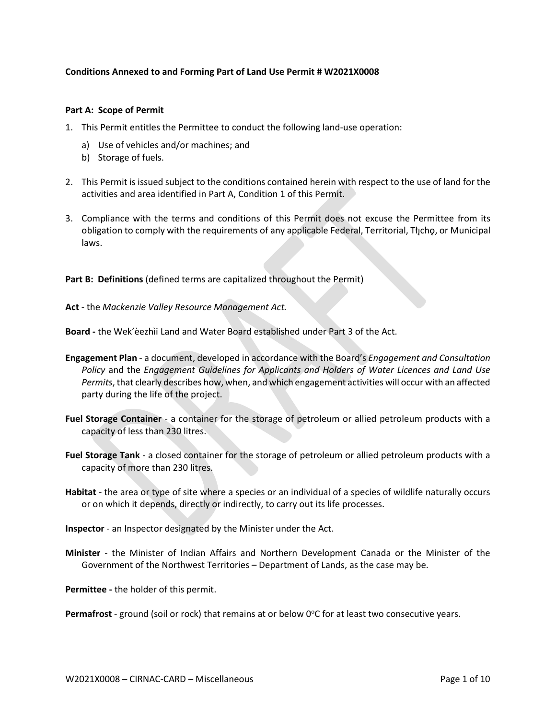## **Conditions Annexed to and Forming Part of Land Use Permit # W2021X0008**

## **Part A: Scope of Permit**

- 1. This Permit entitles the Permittee to conduct the following land-use operation:
	- a) Use of vehicles and/or machines; and
	- b) Storage of fuels.
- 2. This Permit is issued subject to the conditions contained herein with respect to the use of land for the activities and area identified in Part A, Condition 1 of this Permit.
- 3. Compliance with the terms and conditions of this Permit does not excuse the Permittee from its obligation to comply with the requirements of any applicable Federal, Territorial, Tłıchǫ, or Municipal laws.

Part B: Definitions (defined terms are capitalized throughout the Permit)

**Act** - the *Mackenzie Valley Resource Management Act.*

**Board -** the Wek'èezhìi Land and Water Board established under Part 3 of the Act.

- **Engagement Plan**  a document, developed in accordance with the Board's *Engagement and Consultation Policy* and the *Engagement Guidelines for Applicants and Holders of Water Licences and Land Use Permits*, that clearly describes how, when, and which engagement activities will occur with an affected party during the life of the project.
- **Fuel Storage Container** a container for the storage of petroleum or allied petroleum products with a capacity of less than 230 litres.
- **Fuel Storage Tank**  a closed container for the storage of petroleum or allied petroleum products with a capacity of more than 230 litres.
- **Habitat** the area or type of site where a species or an individual of a species of wildlife naturally occurs or on which it depends, directly or indirectly, to carry out its life processes.
- **Inspector**  an Inspector designated by the Minister under the Act.
- **Minister** the Minister of Indian Affairs and Northern Development Canada or the Minister of the Government of the Northwest Territories – Department of Lands, as the case may be.

**Permittee -** the holder of this permit.

Permafrost - ground (soil or rock) that remains at or below 0°C for at least two consecutive years.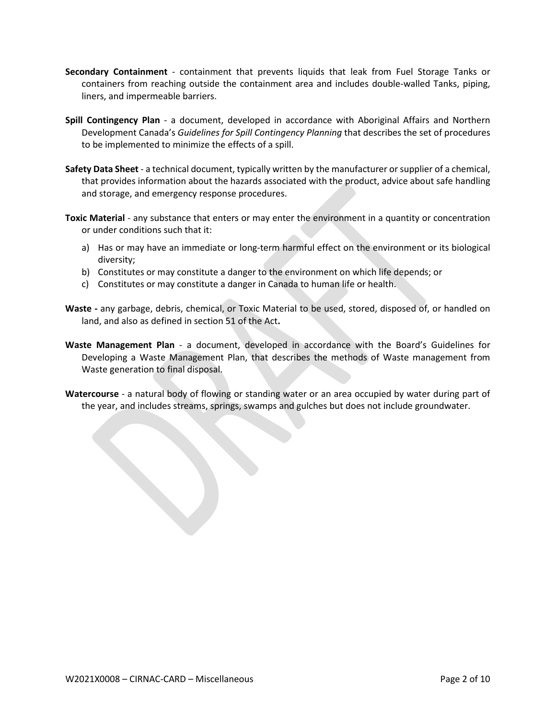- **Secondary Containment** containment that prevents liquids that leak from Fuel Storage Tanks or containers from reaching outside the containment area and includes double-walled Tanks, piping, liners, and impermeable barriers.
- **Spill Contingency Plan** a document, developed in accordance with Aboriginal Affairs and Northern Development Canada's *Guidelines for Spill Contingency Planning* that describes the set of procedures to be implemented to minimize the effects of a spill.
- **Safety Data Sheet**  a technical document, typically written by the manufacturer or supplier of a chemical, that provides information about the hazards associated with the product, advice about safe handling and storage, and emergency response procedures.
- **Toxic Material** any substance that enters or may enter the environment in a quantity or concentration or under conditions such that it:
	- a) Has or may have an immediate or long-term harmful effect on the environment or its biological diversity;
	- b) Constitutes or may constitute a danger to the environment on which life depends; or
	- c) Constitutes or may constitute a danger in Canada to human life or health.
- **Waste -** any garbage, debris, chemical, or Toxic Material to be used, stored, disposed of, or handled on land, and also as defined in section 51 of the Act**.**
- **Waste Management Plan** a document, developed in accordance with the Board's Guidelines for Developing a Waste Management Plan, that describes the methods of Waste management from Waste generation to final disposal.
- **Watercourse** a natural body of flowing or standing water or an area occupied by water during part of the year, and includes streams, springs, swamps and gulches but does not include groundwater.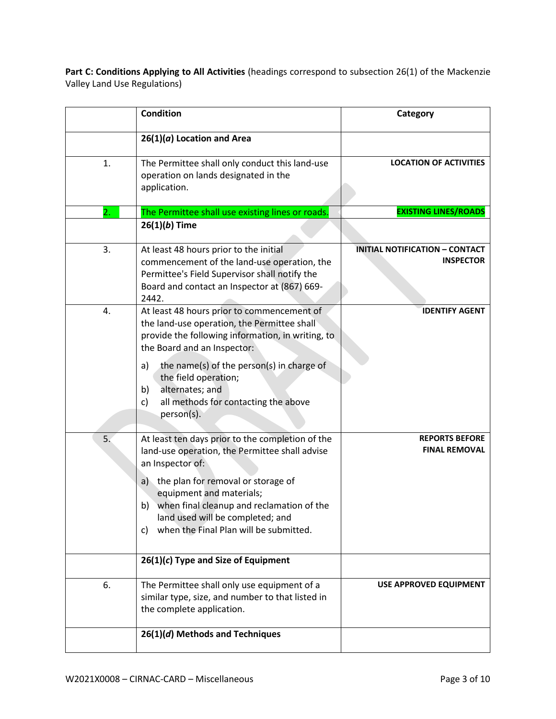Part C: Conditions Applying to All Activities (headings correspond to subsection 26(1) of the Mackenzie Valley Land Use Regulations)

|    | <b>Condition</b>                                                                                                                                                                                                                                                                                                                                                               | Category                                                  |
|----|--------------------------------------------------------------------------------------------------------------------------------------------------------------------------------------------------------------------------------------------------------------------------------------------------------------------------------------------------------------------------------|-----------------------------------------------------------|
|    | $26(1)(a)$ Location and Area                                                                                                                                                                                                                                                                                                                                                   |                                                           |
| 1. | The Permittee shall only conduct this land-use<br>operation on lands designated in the<br>application.                                                                                                                                                                                                                                                                         | <b>LOCATION OF ACTIVITIES</b>                             |
| 2. | The Permittee shall use existing lines or roads.                                                                                                                                                                                                                                                                                                                               | <b>EXISTING LINES/ROADS</b>                               |
|    | $26(1)(b)$ Time                                                                                                                                                                                                                                                                                                                                                                |                                                           |
| 3. | At least 48 hours prior to the initial<br>commencement of the land-use operation, the<br>Permittee's Field Supervisor shall notify the<br>Board and contact an Inspector at (867) 669-<br>2442.                                                                                                                                                                                | <b>INITIAL NOTIFICATION - CONTACT</b><br><b>INSPECTOR</b> |
| 4. | At least 48 hours prior to commencement of<br>the land-use operation, the Permittee shall<br>provide the following information, in writing, to<br>the Board and an Inspector:<br>the name(s) of the person(s) in charge of<br>a)<br>the field operation;<br>alternates; and<br>b)<br>all methods for contacting the above<br>c)<br>person(s).                                  | <b>IDENTIFY AGENT</b>                                     |
| 5. | At least ten days prior to the completion of the<br>land-use operation, the Permittee shall advise<br>an Inspector of:<br>the plan for removal or storage of<br>a)<br>equipment and materials;<br>when final cleanup and reclamation of the<br>b)<br>land used will be completed; and<br>when the Final Plan will be submitted.<br>C)<br>$26(1)(c)$ Type and Size of Equipment | <b>REPORTS BEFORE</b><br><b>FINAL REMOVAL</b>             |
|    |                                                                                                                                                                                                                                                                                                                                                                                |                                                           |
| 6. | The Permittee shall only use equipment of a<br>similar type, size, and number to that listed in<br>the complete application.                                                                                                                                                                                                                                                   | USE APPROVED EQUIPMENT                                    |
|    | 26(1)(d) Methods and Techniques                                                                                                                                                                                                                                                                                                                                                |                                                           |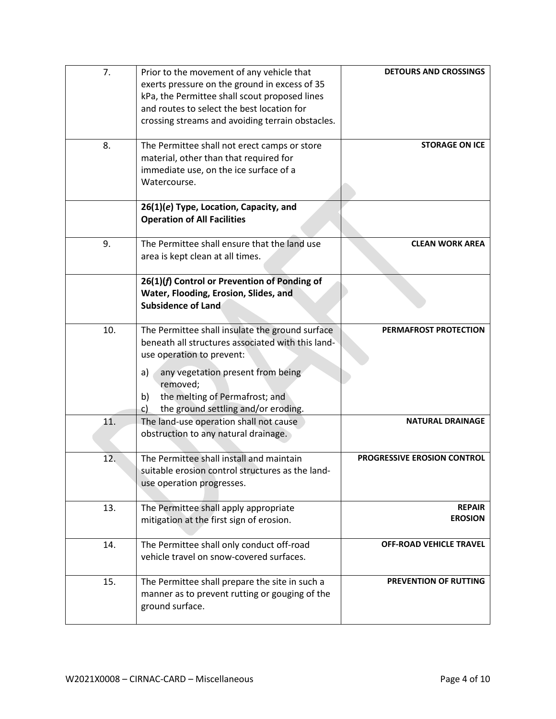| 7.  | Prior to the movement of any vehicle that         | <b>DETOURS AND CROSSINGS</b>   |
|-----|---------------------------------------------------|--------------------------------|
|     | exerts pressure on the ground in excess of 35     |                                |
|     | kPa, the Permittee shall scout proposed lines     |                                |
|     | and routes to select the best location for        |                                |
|     | crossing streams and avoiding terrain obstacles.  |                                |
|     |                                                   |                                |
| 8.  | The Permittee shall not erect camps or store      | <b>STORAGE ON ICE</b>          |
|     | material, other than that required for            |                                |
|     | immediate use, on the ice surface of a            |                                |
|     | Watercourse.                                      |                                |
|     |                                                   |                                |
|     | 26(1)(e) Type, Location, Capacity, and            |                                |
|     | <b>Operation of All Facilities</b>                |                                |
| 9.  | The Permittee shall ensure that the land use      | <b>CLEAN WORK AREA</b>         |
|     | area is kept clean at all times.                  |                                |
|     |                                                   |                                |
|     | 26(1)(f) Control or Prevention of Ponding of      |                                |
|     | Water, Flooding, Erosion, Slides, and             |                                |
|     | <b>Subsidence of Land</b>                         |                                |
|     |                                                   |                                |
| 10. | The Permittee shall insulate the ground surface   | PERMAFROST PROTECTION          |
|     | beneath all structures associated with this land- |                                |
|     | use operation to prevent:                         |                                |
|     | any vegetation present from being<br>a)           |                                |
|     | removed;                                          |                                |
|     | the melting of Permafrost; and<br>b)              |                                |
|     | the ground settling and/or eroding.<br>C)         |                                |
| 11. | The land-use operation shall not cause            | <b>NATURAL DRAINAGE</b>        |
|     | obstruction to any natural drainage.              |                                |
|     |                                                   |                                |
| 12. | The Permittee shall install and maintain          | PROGRESSIVE EROSION CONTROL    |
|     | suitable erosion control structures as the land-  |                                |
|     | use operation progresses.                         |                                |
|     |                                                   |                                |
| 13. | The Permittee shall apply appropriate             | <b>REPAIR</b>                  |
|     | mitigation at the first sign of erosion.          | <b>EROSION</b>                 |
|     |                                                   |                                |
| 14. | The Permittee shall only conduct off-road         | <b>OFF-ROAD VEHICLE TRAVEL</b> |
|     | vehicle travel on snow-covered surfaces.          |                                |
|     |                                                   |                                |
| 15. | The Permittee shall prepare the site in such a    | PREVENTION OF RUTTING          |
|     | manner as to prevent rutting or gouging of the    |                                |
|     | ground surface.                                   |                                |
|     |                                                   |                                |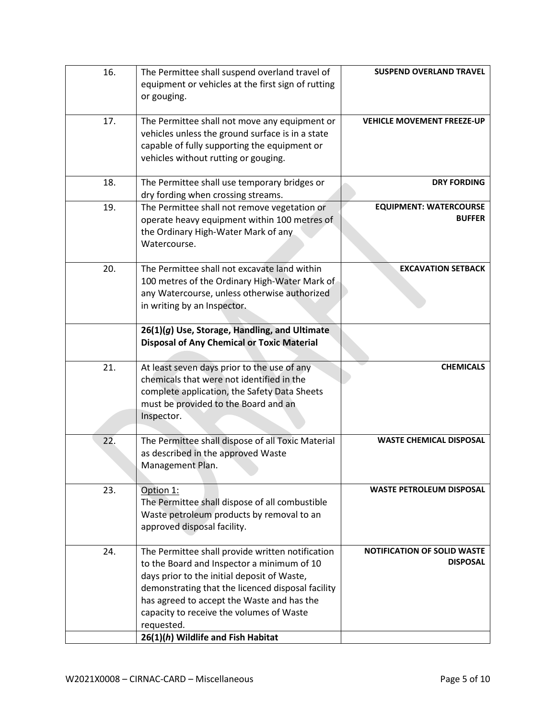| 16. | The Permittee shall suspend overland travel of<br>equipment or vehicles at the first sign of rutting<br>or gouging.                                                                                                                                                                                                                              | <b>SUSPEND OVERLAND TRAVEL</b>                        |
|-----|--------------------------------------------------------------------------------------------------------------------------------------------------------------------------------------------------------------------------------------------------------------------------------------------------------------------------------------------------|-------------------------------------------------------|
| 17. | The Permittee shall not move any equipment or<br>vehicles unless the ground surface is in a state<br>capable of fully supporting the equipment or<br>vehicles without rutting or gouging.                                                                                                                                                        | <b>VEHICLE MOVEMENT FREEZE-UP</b>                     |
| 18. | The Permittee shall use temporary bridges or<br>dry fording when crossing streams.                                                                                                                                                                                                                                                               | <b>DRY FORDING</b>                                    |
| 19. | The Permittee shall not remove vegetation or<br>operate heavy equipment within 100 metres of<br>the Ordinary High-Water Mark of any<br>Watercourse.                                                                                                                                                                                              | <b>EQUIPMENT: WATERCOURSE</b><br><b>BUFFER</b>        |
| 20. | The Permittee shall not excavate land within<br>100 metres of the Ordinary High-Water Mark of<br>any Watercourse, unless otherwise authorized<br>in writing by an Inspector.                                                                                                                                                                     | <b>EXCAVATION SETBACK</b>                             |
|     | 26(1)(g) Use, Storage, Handling, and Ultimate<br><b>Disposal of Any Chemical or Toxic Material</b>                                                                                                                                                                                                                                               |                                                       |
| 21. | At least seven days prior to the use of any<br>chemicals that were not identified in the<br>complete application, the Safety Data Sheets<br>must be provided to the Board and an<br>Inspector.                                                                                                                                                   | <b>CHEMICALS</b>                                      |
| 22. | The Permittee shall dispose of all Toxic Material<br>as described in the approved Waste<br>Management Plan.                                                                                                                                                                                                                                      | <b>WASTE CHEMICAL DISPOSAL</b>                        |
| 23. | Option 1:<br>The Permittee shall dispose of all combustible<br>Waste petroleum products by removal to an<br>approved disposal facility.                                                                                                                                                                                                          | <b>WASTE PETROLEUM DISPOSAL</b>                       |
| 24. | The Permittee shall provide written notification<br>to the Board and Inspector a minimum of 10<br>days prior to the initial deposit of Waste,<br>demonstrating that the licenced disposal facility<br>has agreed to accept the Waste and has the<br>capacity to receive the volumes of Waste<br>requested.<br>26(1)(h) Wildlife and Fish Habitat | <b>NOTIFICATION OF SOLID WASTE</b><br><b>DISPOSAL</b> |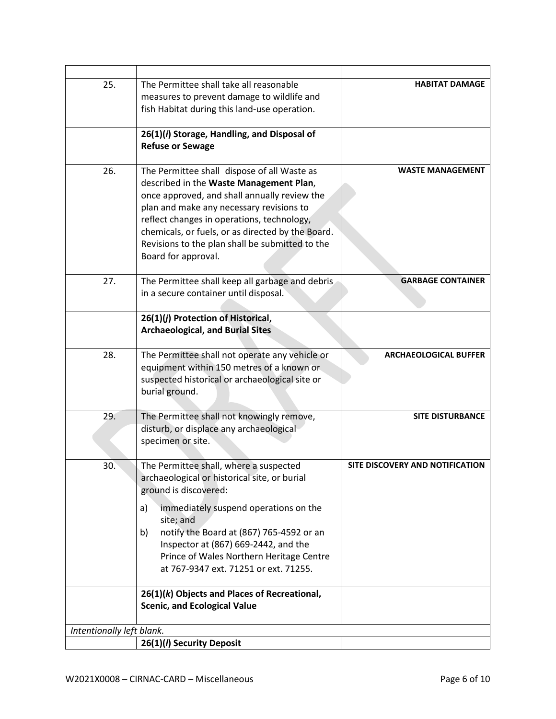| 25.                       | The Permittee shall take all reasonable<br>measures to prevent damage to wildlife and<br>fish Habitat during this land-use operation.                                                                                                                                                                                                                           | <b>HABITAT DAMAGE</b>           |
|---------------------------|-----------------------------------------------------------------------------------------------------------------------------------------------------------------------------------------------------------------------------------------------------------------------------------------------------------------------------------------------------------------|---------------------------------|
|                           | 26(1)(i) Storage, Handling, and Disposal of<br><b>Refuse or Sewage</b>                                                                                                                                                                                                                                                                                          |                                 |
| 26.                       | The Permittee shall dispose of all Waste as<br>described in the Waste Management Plan,<br>once approved, and shall annually review the<br>plan and make any necessary revisions to<br>reflect changes in operations, technology,<br>chemicals, or fuels, or as directed by the Board.<br>Revisions to the plan shall be submitted to the<br>Board for approval. | <b>WASTE MANAGEMENT</b>         |
| 27.                       | The Permittee shall keep all garbage and debris<br>in a secure container until disposal.                                                                                                                                                                                                                                                                        | <b>GARBAGE CONTAINER</b>        |
|                           | 26(1)(j) Protection of Historical,<br><b>Archaeological, and Burial Sites</b>                                                                                                                                                                                                                                                                                   |                                 |
| 28.                       | The Permittee shall not operate any vehicle or<br>equipment within 150 metres of a known or<br>suspected historical or archaeological site or<br>burial ground.                                                                                                                                                                                                 | <b>ARCHAEOLOGICAL BUFFER</b>    |
| 29.                       | The Permittee shall not knowingly remove,<br>disturb, or displace any archaeological<br>specimen or site.                                                                                                                                                                                                                                                       | <b>SITE DISTURBANCE</b>         |
| 30.                       | The Permittee shall, where a suspected<br>archaeological or historical site, or burial<br>ground is discovered:                                                                                                                                                                                                                                                 | SITE DISCOVERY AND NOTIFICATION |
|                           | immediately suspend operations on the<br>a)<br>site; and<br>notify the Board at (867) 765-4592 or an<br>b)<br>Inspector at (867) 669-2442, and the<br>Prince of Wales Northern Heritage Centre<br>at 767-9347 ext. 71251 or ext. 71255.                                                                                                                         |                                 |
|                           | 26(1)(k) Objects and Places of Recreational,<br><b>Scenic, and Ecological Value</b>                                                                                                                                                                                                                                                                             |                                 |
| Intentionally left blank. |                                                                                                                                                                                                                                                                                                                                                                 |                                 |
|                           | 26(1)(/) Security Deposit                                                                                                                                                                                                                                                                                                                                       |                                 |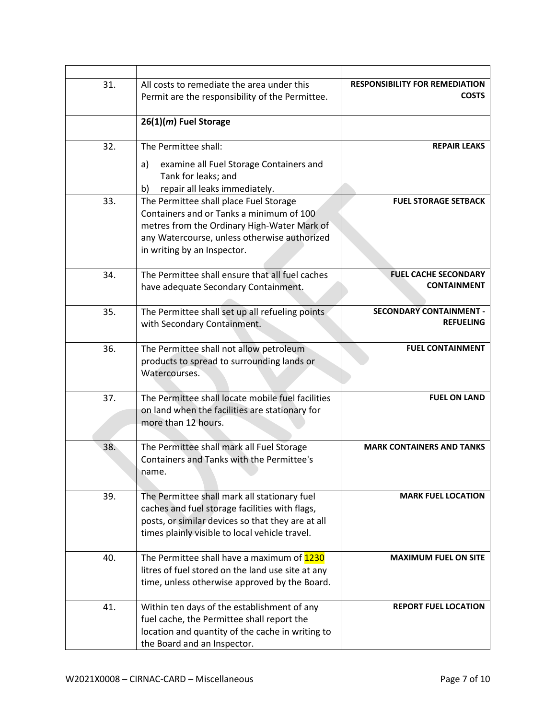| 31. | All costs to remediate the area under this<br>Permit are the responsibility of the Permittee.                                                                                                                    | <b>RESPONSIBILITY FOR REMEDIATION</b><br><b>COSTS</b> |
|-----|------------------------------------------------------------------------------------------------------------------------------------------------------------------------------------------------------------------|-------------------------------------------------------|
|     | 26(1)(m) Fuel Storage                                                                                                                                                                                            |                                                       |
| 32. | The Permittee shall:                                                                                                                                                                                             | <b>REPAIR LEAKS</b>                                   |
|     | examine all Fuel Storage Containers and<br>a)<br>Tank for leaks; and<br>repair all leaks immediately.<br>b)                                                                                                      |                                                       |
| 33. | The Permittee shall place Fuel Storage<br>Containers and or Tanks a minimum of 100<br>metres from the Ordinary High-Water Mark of<br>any Watercourse, unless otherwise authorized<br>in writing by an Inspector. | <b>FUEL STORAGE SETBACK</b>                           |
| 34. | The Permittee shall ensure that all fuel caches<br>have adequate Secondary Containment.                                                                                                                          | <b>FUEL CACHE SECONDARY</b><br><b>CONTAINMENT</b>     |
| 35. | The Permittee shall set up all refueling points<br>with Secondary Containment.                                                                                                                                   | <b>SECONDARY CONTAINMENT -</b><br><b>REFUELING</b>    |
| 36. | The Permittee shall not allow petroleum<br>products to spread to surrounding lands or<br>Watercourses.                                                                                                           | <b>FUEL CONTAINMENT</b>                               |
| 37. | The Permittee shall locate mobile fuel facilities<br>on land when the facilities are stationary for<br>more than 12 hours.                                                                                       | <b>FUEL ON LAND</b>                                   |
| 38. | The Permittee shall mark all Fuel Storage<br><b>Containers and Tanks with the Permittee's</b><br>name.                                                                                                           | <b>MARK CONTAINERS AND TANKS</b>                      |
| 39. | The Permittee shall mark all stationary fuel<br>caches and fuel storage facilities with flags,<br>posts, or similar devices so that they are at all<br>times plainly visible to local vehicle travel.            | <b>MARK FUEL LOCATION</b>                             |
| 40. | The Permittee shall have a maximum of 1230<br>litres of fuel stored on the land use site at any<br>time, unless otherwise approved by the Board.                                                                 | <b>MAXIMUM FUEL ON SITE</b>                           |
| 41. | Within ten days of the establishment of any<br>fuel cache, the Permittee shall report the<br>location and quantity of the cache in writing to<br>the Board and an Inspector.                                     | <b>REPORT FUEL LOCATION</b>                           |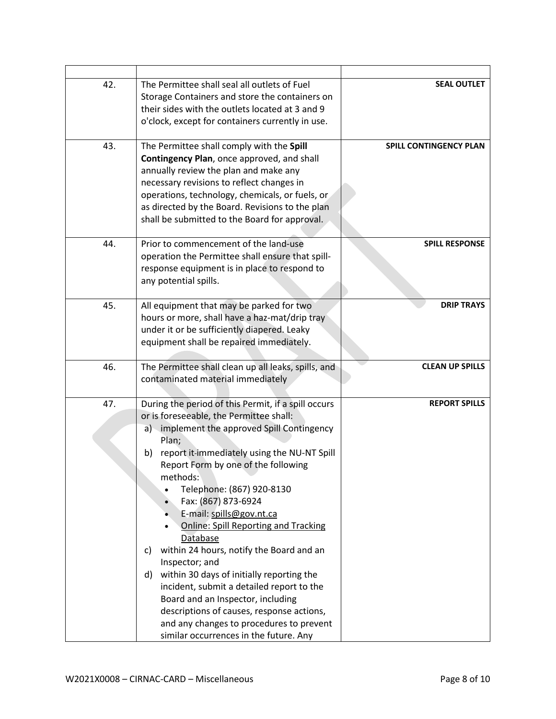| 42. | The Permittee shall seal all outlets of Fuel<br>Storage Containers and store the containers on<br>their sides with the outlets located at 3 and 9<br>o'clock, except for containers currently in use.                                                                                                                                                                                                                                                                                                                                                                                                                                                                                                                                                 | <b>SEAL OUTLET</b>            |
|-----|-------------------------------------------------------------------------------------------------------------------------------------------------------------------------------------------------------------------------------------------------------------------------------------------------------------------------------------------------------------------------------------------------------------------------------------------------------------------------------------------------------------------------------------------------------------------------------------------------------------------------------------------------------------------------------------------------------------------------------------------------------|-------------------------------|
| 43. | The Permittee shall comply with the Spill<br>Contingency Plan, once approved, and shall<br>annually review the plan and make any<br>necessary revisions to reflect changes in<br>operations, technology, chemicals, or fuels, or<br>as directed by the Board. Revisions to the plan<br>shall be submitted to the Board for approval.                                                                                                                                                                                                                                                                                                                                                                                                                  | <b>SPILL CONTINGENCY PLAN</b> |
| 44. | Prior to commencement of the land-use<br>operation the Permittee shall ensure that spill-<br>response equipment is in place to respond to<br>any potential spills.                                                                                                                                                                                                                                                                                                                                                                                                                                                                                                                                                                                    | <b>SPILL RESPONSE</b>         |
| 45. | All equipment that may be parked for two<br>hours or more, shall have a haz-mat/drip tray<br>under it or be sufficiently diapered. Leaky<br>equipment shall be repaired immediately.                                                                                                                                                                                                                                                                                                                                                                                                                                                                                                                                                                  | <b>DRIP TRAYS</b>             |
| 46. | The Permittee shall clean up all leaks, spills, and<br>contaminated material immediately                                                                                                                                                                                                                                                                                                                                                                                                                                                                                                                                                                                                                                                              | <b>CLEAN UP SPILLS</b>        |
| 47. | During the period of this Permit, if a spill occurs<br>or is foreseeable, the Permittee shall:<br>a) implement the approved Spill Contingency<br>Plan;<br>report it-immediately using the NU-NT Spill<br>b)<br>Report Form by one of the following<br>methods:<br>Telephone: (867) 920-8130<br>Fax: (867) 873-6924<br>E-mail: spills@gov.nt.ca<br><b>Online: Spill Reporting and Tracking</b><br>Database<br>within 24 hours, notify the Board and an<br>C)<br>Inspector; and<br>within 30 days of initially reporting the<br>d)<br>incident, submit a detailed report to the<br>Board and an Inspector, including<br>descriptions of causes, response actions,<br>and any changes to procedures to prevent<br>similar occurrences in the future. Any | <b>REPORT SPILLS</b>          |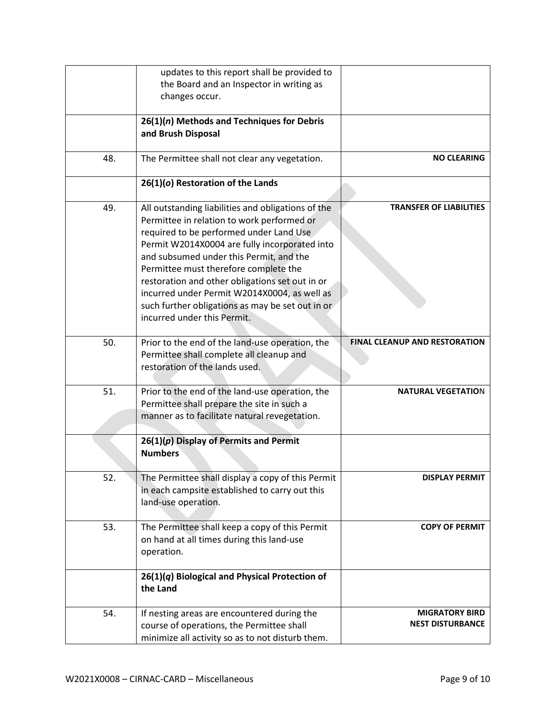|     | updates to this report shall be provided to                                                                                                                                                                                                                                                                                                                                                                                             |                                                  |
|-----|-----------------------------------------------------------------------------------------------------------------------------------------------------------------------------------------------------------------------------------------------------------------------------------------------------------------------------------------------------------------------------------------------------------------------------------------|--------------------------------------------------|
|     | the Board and an Inspector in writing as<br>changes occur.                                                                                                                                                                                                                                                                                                                                                                              |                                                  |
|     |                                                                                                                                                                                                                                                                                                                                                                                                                                         |                                                  |
|     | 26(1)(n) Methods and Techniques for Debris<br>and Brush Disposal                                                                                                                                                                                                                                                                                                                                                                        |                                                  |
| 48. | The Permittee shall not clear any vegetation.                                                                                                                                                                                                                                                                                                                                                                                           | <b>NO CLEARING</b>                               |
|     | $26(1)(o)$ Restoration of the Lands                                                                                                                                                                                                                                                                                                                                                                                                     |                                                  |
| 49. | All outstanding liabilities and obligations of the<br>Permittee in relation to work performed or<br>required to be performed under Land Use<br>Permit W2014X0004 are fully incorporated into<br>and subsumed under this Permit, and the<br>Permittee must therefore complete the<br>restoration and other obligations set out in or<br>incurred under Permit W2014X0004, as well as<br>such further obligations as may be set out in or | <b>TRANSFER OF LIABILITIES</b>                   |
|     | incurred under this Permit.                                                                                                                                                                                                                                                                                                                                                                                                             |                                                  |
| 50. | Prior to the end of the land-use operation, the<br>Permittee shall complete all cleanup and<br>restoration of the lands used.                                                                                                                                                                                                                                                                                                           | <b>FINAL CLEANUP AND RESTORATION</b>             |
| 51. | Prior to the end of the land-use operation, the<br>Permittee shall prepare the site in such a<br>manner as to facilitate natural revegetation.                                                                                                                                                                                                                                                                                          | <b>NATURAL VEGETATION</b>                        |
|     | $26(1)(p)$ Display of Permits and Permit<br><b>Numbers</b>                                                                                                                                                                                                                                                                                                                                                                              |                                                  |
| 52. | The Permittee shall display a copy of this Permit<br>in each campsite established to carry out this<br>land-use operation.                                                                                                                                                                                                                                                                                                              | <b>DISPLAY PERMIT</b>                            |
| 53. | The Permittee shall keep a copy of this Permit<br>on hand at all times during this land-use<br>operation.                                                                                                                                                                                                                                                                                                                               | <b>COPY OF PERMIT</b>                            |
|     | $26(1)(q)$ Biological and Physical Protection of<br>the Land                                                                                                                                                                                                                                                                                                                                                                            |                                                  |
| 54. | If nesting areas are encountered during the<br>course of operations, the Permittee shall<br>minimize all activity so as to not disturb them.                                                                                                                                                                                                                                                                                            | <b>MIGRATORY BIRD</b><br><b>NEST DISTURBANCE</b> |